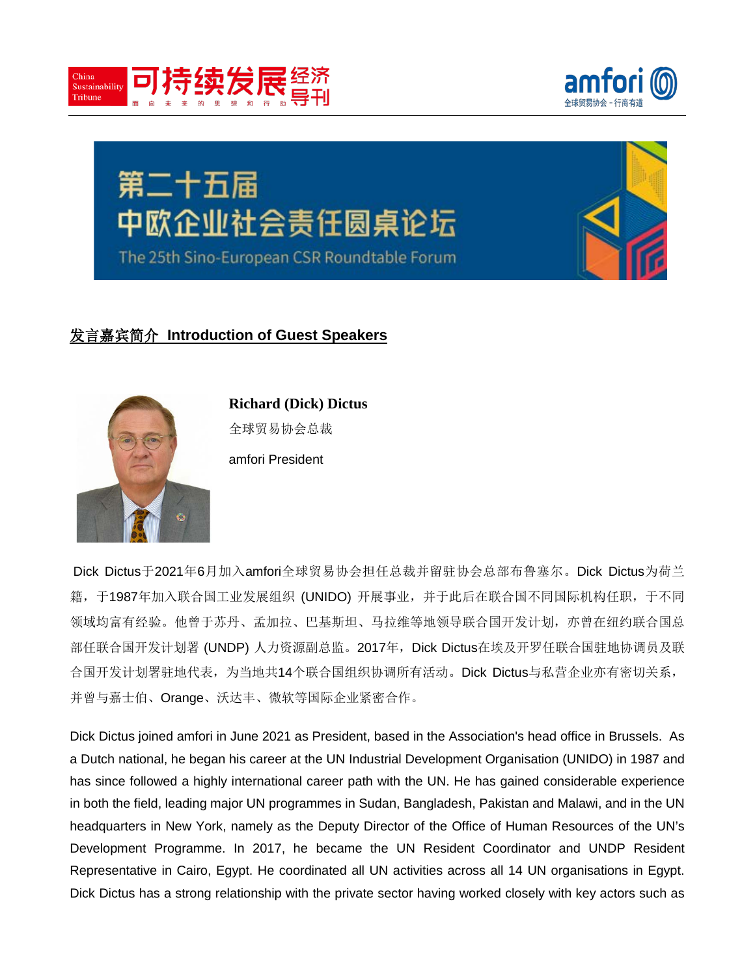





# 发言嘉宾简介 **Introduction of Guest Speakers**



**Richard (Dick) Dictus** 全球贸易协会总裁

amfori President

Dick Dictus于2021年6月加入amfori全球贸易协会担任总裁并留驻协会总部布鲁塞尔。Dick Dictus为荷兰 籍,于1987年加入联合国工业发展组织 (UNIDO) 开展事业, 并于此后在联合国不同国际机构任职, 于不同 领域均富有经验。他曾于苏丹、孟加拉、巴基斯坦、马拉维等地领导联合国开发计划,亦曾在纽约联合国总 部任联合国开发计划署 (UNDP) 人力资源副总监。2017年, Dick Dictus在埃及开罗任联合国驻地协调员及联 合国开发计划署驻地代表,为当地共14个联合国组织协调所有活动。Dick Dictus与私营企业亦有密切关系, 并曾与嘉士伯、Orange、沃达丰、微软等国际企业紧密合作。

Dick Dictus joined amfori in June 2021 as President, based in the Association's head office in Brussels. As a Dutch national, he began his career at the UN Industrial Development Organisation (UNIDO) in 1987 and has since followed a highly international career path with the UN. He has gained considerable experience in both the field, leading major UN programmes in Sudan, Bangladesh, Pakistan and Malawi, and in the UN headquarters in New York, namely as the Deputy Director of the Office of Human Resources of the UN's Development Programme. In 2017, he became the UN Resident Coordinator and UNDP Resident Representative in Cairo, Egypt. He coordinated all UN activities across all 14 UN organisations in Egypt. Dick Dictus has a strong relationship with the private sector having worked closely with key actors such as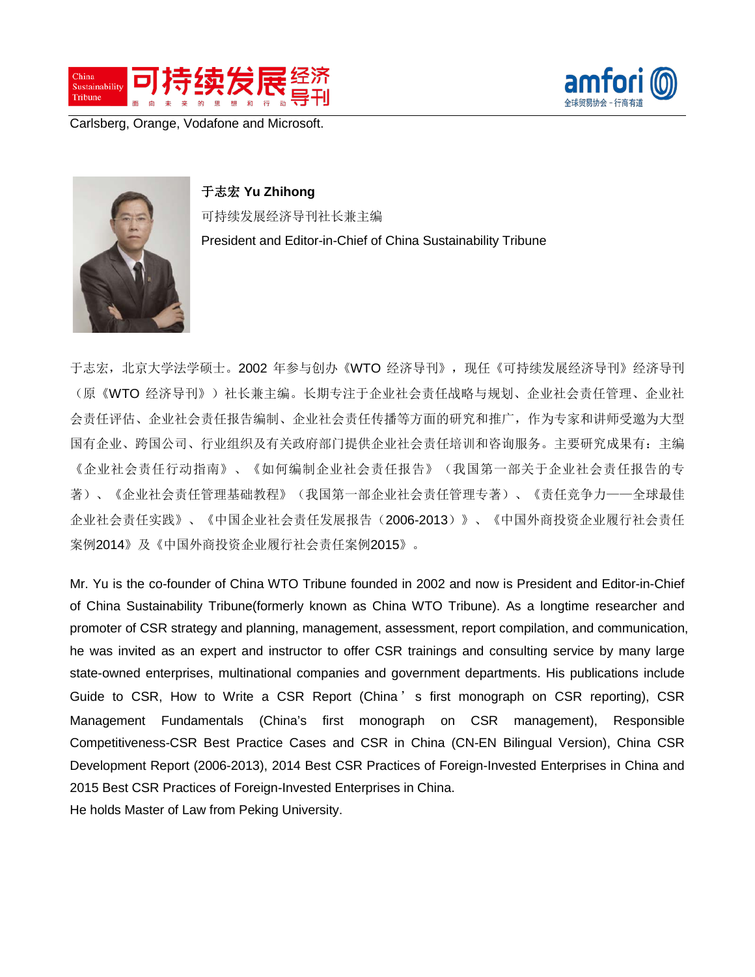



Carlsberg, Orange, Vodafone and Microsoft.



## 于志宏 **Yu Zhihong**

可持续发展经济导刊社长兼主编 President and Editor-in-Chief of China Sustainability Tribune

于志宏,北京大学法学硕士。2002 年参与创办《WTO 经济导刊》, 现任《可持续发展经济导刊》经济导刊 (原《WTO 经济导刊》)社长兼主编。长期专注于企业社会责任战略与规划、企业社会责任管理、企业社 会责任评估、企业社会责任报告编制、企业社会责任传播等方面的研究和推广,作为专家和讲师受邀为大型 国有企业、跨国公司、行业组织及有关政府部门提供企业社会责任培训和咨询服务。主要研究成果有:主编 《企业社会责任行动指南》、《如何编制企业社会责任报告》(我国第一部关于企业社会责任报告的专 著)、《企业社会责任管理基础教程》(我国第一部企业社会责任管理专著)、《责任竞争力——全球最佳 企业社会责任实践》、《中国企业社会责任发展报告(2006-2013)》、《中国外商投资企业履行社会责任 案例2014》及《中国外商投资企业履行社会责任案例2015》。

Mr. Yu is the co-founder of China WTO Tribune founded in 2002 and now is President and Editor-in-Chief of China Sustainability Tribune(formerly known as China WTO Tribune). As a longtime researcher and promoter of CSR strategy and planning, management, assessment, report compilation, and communication, he was invited as an expert and instructor to offer CSR trainings and consulting service by many large state-owned enterprises, multinational companies and government departments. His publications include Guide to CSR, How to Write a CSR Report (China' s first monograph on CSR reporting), CSR Management Fundamentals (China's first monograph on CSR management), Responsible Competitiveness-CSR Best Practice Cases and CSR in China (CN-EN Bilingual Version), China CSR Development Report (2006-2013), 2014 Best CSR Practices of Foreign-Invested Enterprises in China and 2015 Best CSR Practices of Foreign-Invested Enterprises in China.

He holds Master of Law from Peking University.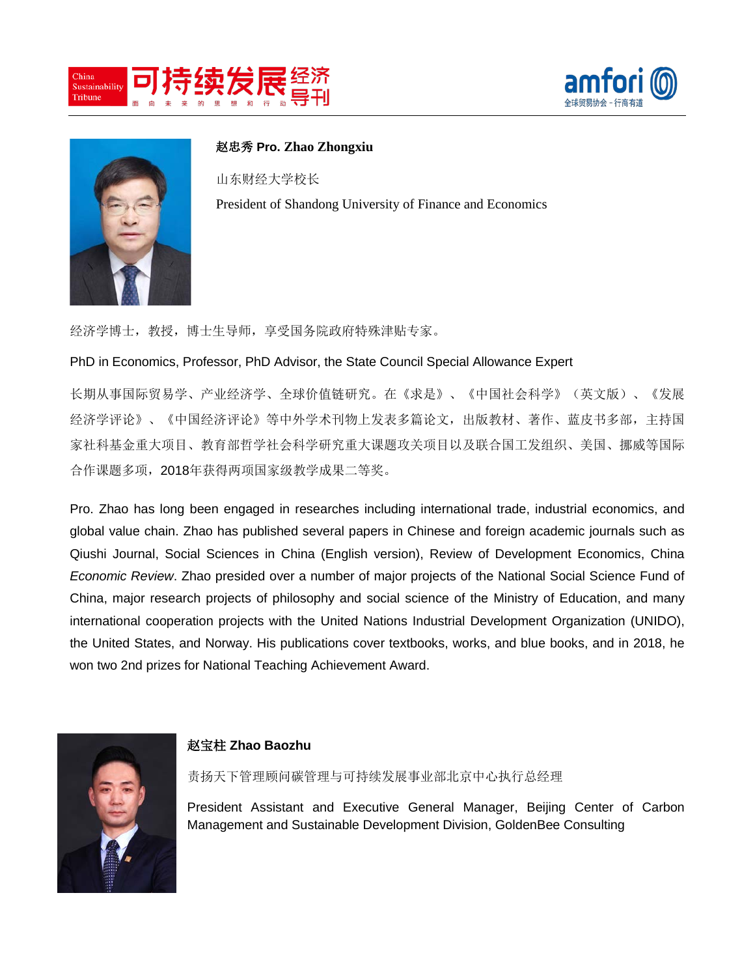





赵忠秀 **Pro. Zhao Zhongxiu**

山东财经大学校长 President of Shandong University of Finance and Economics

经济学博士,教授,博士生导师,享受国务院政府特殊津贴专家。

PhD in Economics, Professor, PhD Advisor, the State Council Special Allowance Expert

长期从事国际贸易学、产业经济学、全球价值链研究。在《求是》、《中国社会科学》(英文版)、《发展 经济学评论》、《中国经济评论》等中外学术刊物上发表多篇论文,出版教材、著作、蓝皮书多部,主持国 家社科基金重大项目、教育部哲学社会科学研究重大课题攻关项目以及联合国工发组织、美国、挪威等国际 合作课题多项,2018年获得两项国家级教学成果二等奖。

Pro. Zhao has long been engaged in researches including international trade, industrial economics, and global value chain. Zhao has published several papers in Chinese and foreign academic journals such as Qiushi Journal, Social Sciences in China (English version), Review of Development Economics, China *Economic Review*. Zhao presided over a number of major projects of the National Social Science Fund of China, major research projects of philosophy and social science of the Ministry of Education, and many international cooperation projects with the United Nations Industrial Development Organization (UNIDO), the United States, and Norway. His publications cover textbooks, works, and blue books, and in 2018, he won two 2nd prizes for National Teaching Achievement Award.



#### 赵宝柱 **Zhao Baozhu**

责扬天下管理顾问碳管理与可持续发展事业部北京中心执行总经理

President Assistant and Executive General Manager, Beijing Center of Carbon Management and Sustainable Development Division, GoldenBee Consulting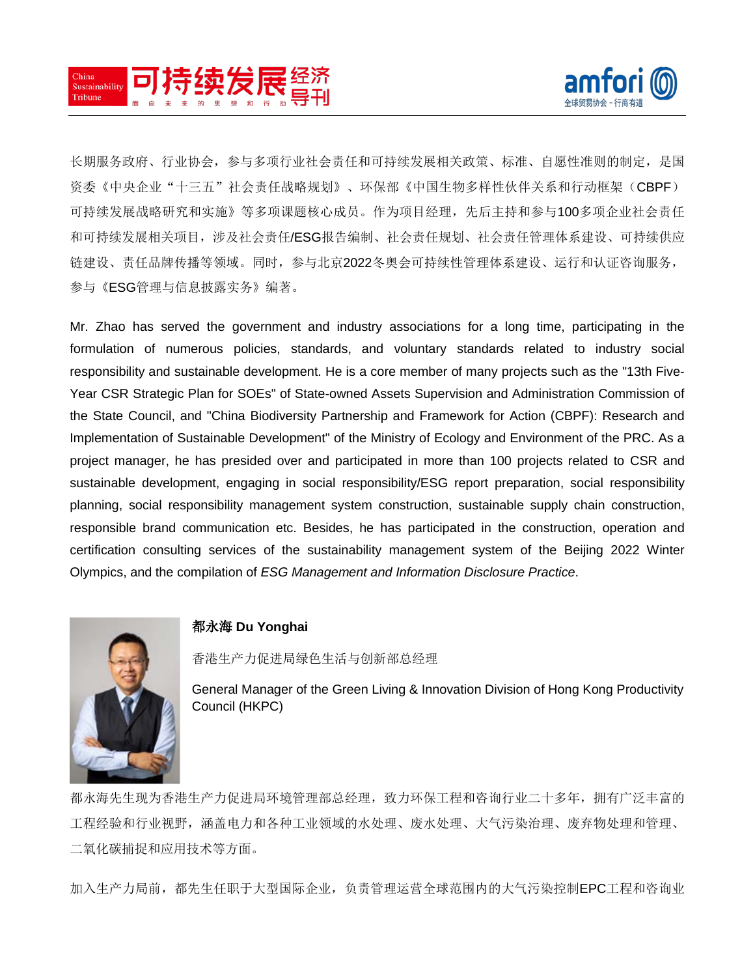



长期服务政府、行业协会,参与多项行业社会责任和可持续发展相关政策、标准、自愿性准则的制定,是国 资委《中央企业"十三五"社会责任战略规划》、环保部《中国生物多样性伙伴关系和行动框架(CBPF) 可持续发展战略研究和实施》等多项课题核心成员。作为项目经理,先后主持和参与100多项企业社会责任 和可持续发展相关项目,涉及社会责任/ESG报告编制、社会责任规划、社会责任管理体系建设、可持续供应 链建设、责任品牌传播等领域。同时,参与北京2022冬奥会可持续性管理体系建设、运行和认证咨询服务, 参与《ESG管理与信息披露实务》编著。

Mr. Zhao has served the government and industry associations for a long time, participating in the formulation of numerous policies, standards, and voluntary standards related to industry social responsibility and sustainable development. He is a core member of many projects such as the "13th Five-Year CSR Strategic Plan for SOEs" of State-owned Assets Supervision and Administration Commission of the State Council, and "China Biodiversity Partnership and Framework for Action (CBPF): Research and Implementation of Sustainable Development" of the Ministry of Ecology and Environment of the PRC. As a project manager, he has presided over and participated in more than 100 projects related to CSR and sustainable development, engaging in social responsibility/ESG report preparation, social responsibility planning, social responsibility management system construction, sustainable supply chain construction, responsible brand communication etc. Besides, he has participated in the construction, operation and certification consulting services of the sustainability management system of the Beijing 2022 Winter Olympics, and the compilation of *ESG Management and Information Disclosure Practice*.



#### 都永海 **Du Yonghai**

香港生产力促进局绿色生活与创新部总经理

General Manager of the Green Living & Innovation Division of Hong Kong Productivity Council (HKPC)

都永海先生现为香港生产力促进局环境管理部总经理,致力环保工程和咨询行业二十多年,拥有广泛丰富的 工程经验和行业视野,涵盖电力和各种工业领域的水处理、废水处理、大气污染治理、废弃物处理和管理、 二氧化碳捕捉和应用技术等方面。

加入生产力局前,都先生任职于大型国际企业,负责管理运营全球范围内的大气污染控制EPC工程和咨询业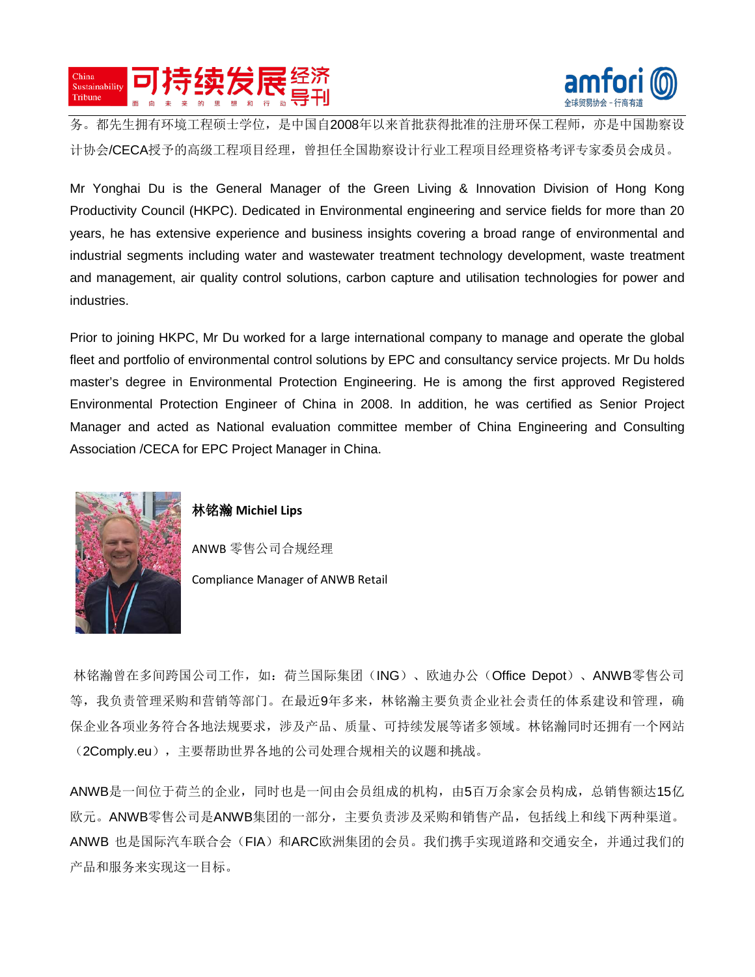



务。都先生拥有环境工程硕士学位,是中国自2008年以来首批获得批准的注册环保工程师,亦是中国勘察设 计协会/CECA授予的高级工程项目经理,曾担任全国勘察设计行业工程项目经理资格考评专家委员会成员。

Mr Yonghai Du is the General Manager of the Green Living & Innovation Division of Hong Kong Productivity Council (HKPC). Dedicated in Environmental engineering and service fields for more than 20 years, he has extensive experience and business insights covering a broad range of environmental and industrial segments including water and wastewater treatment technology development, waste treatment and management, air quality control solutions, carbon capture and utilisation technologies for power and industries.

Prior to joining HKPC, Mr Du worked for a large international company to manage and operate the global fleet and portfolio of environmental control solutions by EPC and consultancy service projects. Mr Du holds master's degree in Environmental Protection Engineering. He is among the first approved Registered Environmental Protection Engineer of China in 2008. In addition, he was certified as Senior Project Manager and acted as National evaluation committee member of China Engineering and Consulting Association /CECA for EPC Project Manager in China.



#### 林铭瀚 **Michiel Lips**

ANWB 零售公司合规经理

Compliance Manager of ANWB Retail

林铭瀚曾在多间跨国公司工作,如:荷兰国际集团(ING)、欧迪办公(Office Depot)、ANWB零售公司 等,我负责管理采购和营销等部门。在最近9年多来,林铭瀚主要负责企业社会责任的体系建设和管理,确 保企业各项业务符合各地法规要求,涉及产品、质量、可持续发展等诸多领域。林铭瀚同时还拥有一个网站 (2Comply.eu), 主要帮助世界各地的公司处理合规相关的议题和挑战。

ANWB是一间位于荷兰的企业,同时也是一间由会员组成的机构,由5百万余家会员构成,总销售额达15亿 欧元。ANWB零售公司是ANWB集团的一部分,主要负责涉及采购和销售产品,包括线上和线下两种渠道。 ANWB 也是国际汽车联合会(FIA)和ARC欧洲集团的会员。我们携手实现道路和交通安全,并通过我们的 产品和服务来实现这一目标。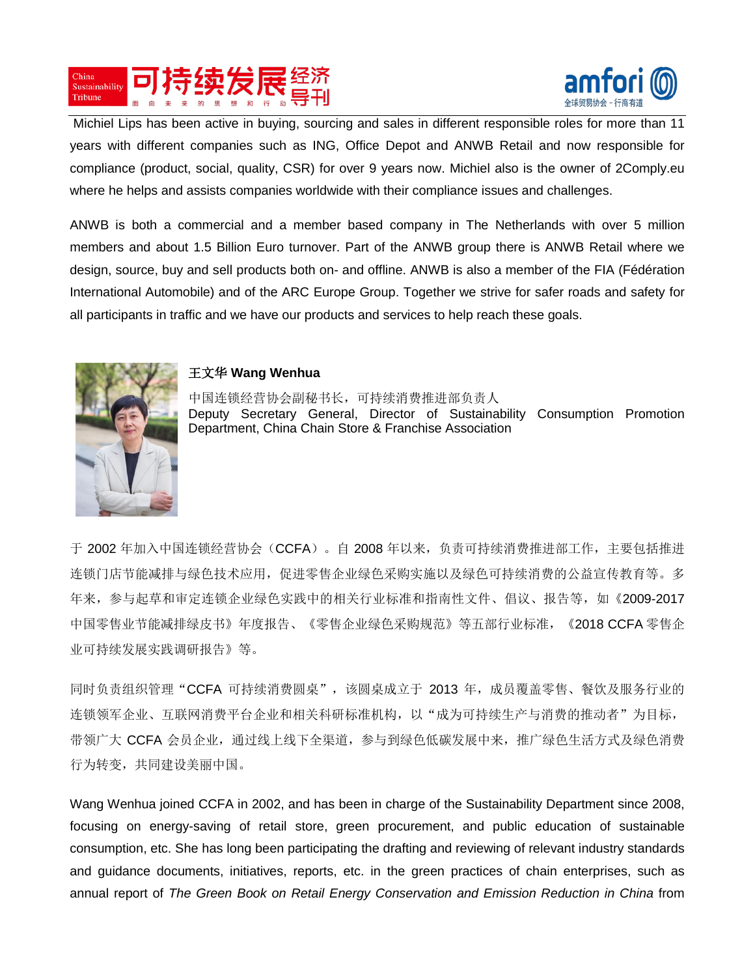



Michiel Lips has been active in buying, sourcing and sales in different responsible roles for more than 11 years with different companies such as ING, Office Depot and ANWB Retail and now responsible for compliance (product, social, quality, CSR) for over 9 years now. Michiel also is the owner of 2Comply.eu where he helps and assists companies worldwide with their compliance issues and challenges.

ANWB is both a commercial and a member based company in The Netherlands with over 5 million members and about 1.5 Billion Euro turnover. Part of the ANWB group there is ANWB Retail where we design, source, buy and sell products both on- and offline. ANWB is also a member of the FIA (Fédération International Automobile) and of the ARC Europe Group. Together we strive for safer roads and safety for all participants in traffic and we have our products and services to help reach these goals.



#### 王文华 **Wang Wenhua**

中国连锁经营协会副秘书长,可持续消费推进部负责人 Deputy Secretary General, Director of Sustainability Consumption Promotion Department, China Chain Store & Franchise Association

于 2002 年加入中国连锁经营协会(CCFA)。自 2008 年以来,负责可持续消费推进部工作, 主要包括推进 连锁门店节能减排与绿色技术应用,促进零售企业绿色采购实施以及绿色可持续消费的公益宣传教育等。多 年来,参与起草和审定连锁企业绿色实践中的相关行业标准和指南性文件、倡议、报告等,如《2009-2017 中国零售业节能减排绿皮书》年度报告、《零售企业绿色采购规范》等五部行业标准,《2018 CCFA 零售企 业可持续发展实践调研报告》等。

同时负责组织管理"CCFA 可持续消费圆桌", 该圆桌成立于 2013 年, 成员覆盖零售、餐饮及服务行业的 连锁领军企业、互联网消费平台企业和相关科研标准机构,以"成为可持续生产与消费的推动者"为目标, 带领广大 CCFA 会员企业,通过线上线下全渠道,参与到绿色低碳发展中来,推广绿色生活方式及绿色消费 行为转变,共同建设美丽中国。

Wang Wenhua joined CCFA in 2002, and has been in charge of the Sustainability Department since 2008, focusing on energy-saving of retail store, green procurement, and public education of sustainable consumption, etc. She has long been participating the drafting and reviewing of relevant industry standards and guidance documents, initiatives, reports, etc. in the green practices of chain enterprises, such as annual report of *The Green Book on Retail Energy Conservation and Emission Reduction in China* from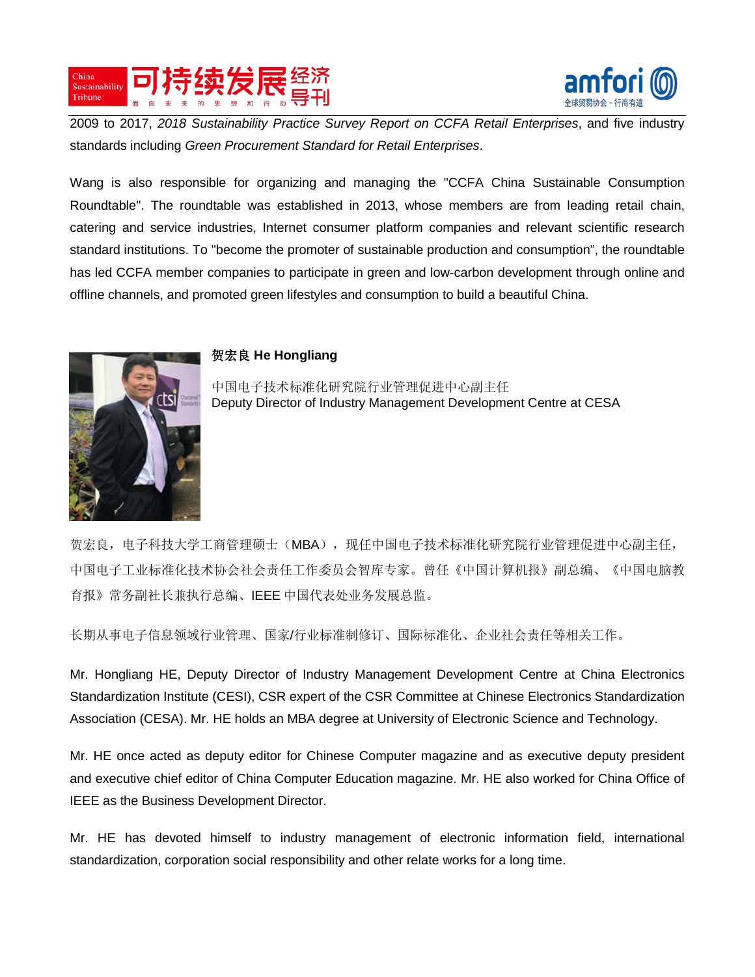



2009 to 2017, *2018 Sustainability Practice Survey Report on CCFA Retail Enterprises*, and five industry standards including *Green Procurement Standard for Retail Enterprises*.

Wang is also responsible for organizing and managing the "CCFA China Sustainable Consumption Roundtable". The roundtable was established in 2013, whose members are from leading retail chain, catering and service industries, Internet consumer platform companies and relevant scientific research standard institutions. To "become the promoter of sustainable production and consumption", the roundtable has led CCFA member companies to participate in green and low-carbon development through online and offline channels, and promoted green lifestyles and consumption to build a beautiful China.



#### 贺宏良 **He Hongliang**

中国电子技术标准化研究院行业管理促进中心副主任 Deputy Director of Industry Management Development Centre at CESA

贺宏良,电子科技大学工商管理硕士(MBA),现任中国电子技术标准化研究院行业管理促进中心副主任, 中国电子工业标准化技术协会社会责任工作委员会智库专家。曾任《中国计算机报》副总编、《中国电脑教 育报》常务副社长兼执行总编、IEEE 中国代表处业务发展总监。

长期从事电子信息领域行业管理、国家/行业标准制修订、国际标准化、企业社会责任等相关工作。

Mr. Hongliang HE, Deputy Director of Industry Management Development Centre at China Electronics Standardization Institute (CESI), CSR expert of the CSR Committee at Chinese Electronics Standardization Association (CESA). Mr. HE holds an MBA degree at University of Electronic Science and Technology.

Mr. HE once acted as deputy editor for Chinese Computer magazine and as executive deputy president and executive chief editor of China Computer Education magazine. Mr. HE also worked for China Office of IEEE as the Business Development Director.

Mr. HE has devoted himself to industry management of electronic information field, international standardization, corporation social responsibility and other relate works for a long time.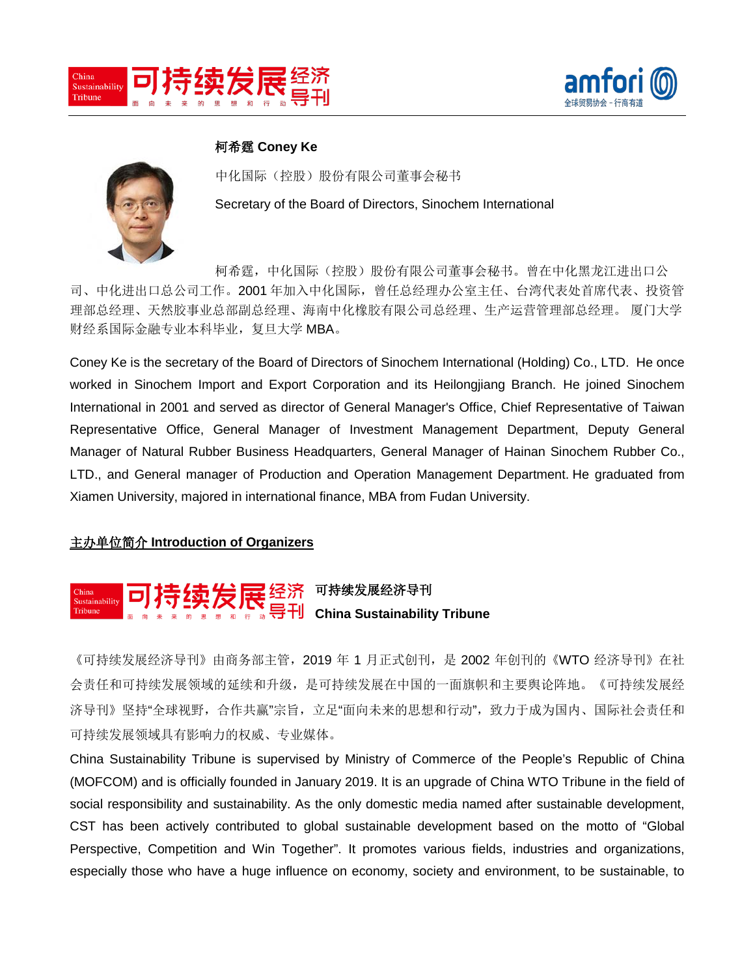



## 柯希霆 **Coney Ke**



中化国际(控股)股份有限公司董事会秘书 Secretary of the Board of Directors, Sinochem International

柯希霆,中化国际(控股)股份有限公司董事会秘书。曾在中化黑龙江进出口公 司、中化进出口总公司工作。2001 年加入中化国际,曾任总经理办公室主任、台湾代表处首席代表、投资管 理部总经理、天然胶事业总部副总经理、海南中化橡胶有限公司总经理、生产运营管理部总经理。 厦门大学 财经系国际金融专业本科毕业,复旦大学 MBA。

Coney Ke is the secretary of the Board of Directors of Sinochem International (Holding) Co., LTD. He once worked in Sinochem Import and Export Corporation and its Heilongjiang Branch. He joined Sinochem International in 2001 and served as director of General Manager's Office, Chief Representative of Taiwan Representative Office, General Manager of Investment Management Department, Deputy General Manager of Natural Rubber Business Headquarters, General Manager of Hainan Sinochem Rubber Co., LTD., and General manager of Production and Operation Management Department. He graduated from Xiamen University, majored in international finance, MBA from Fudan University.

#### 主办单位简介 **Introduction of Organizers**

# 可持续发展经济导刊 **China Sustainability Tribune**

《可持续发展经济导刊》由商务部主管,2019 年 1 月正式创刊,是 2002 年创刊的《WTO 经济导刊》在社 会责任和可持续发展领域的延续和升级,是可持续发展在中国的一面旗帜和主要舆论阵地。《可持续发展经 济导刊》坚持"全球视野,合作共赢"宗旨,立足"面向未来的思想和行动",致力于成为国内、国际社会责任和 可持续发展领域具有影响力的权威、专业媒体。

China Sustainability Tribune is supervised by Ministry of Commerce of the People's Republic of China (MOFCOM) and is officially founded in January 2019. It is an upgrade of China WTO Tribune in the field of social responsibility and sustainability. As the only domestic media named after sustainable development, CST has been actively contributed to global sustainable development based on the motto of "Global Perspective, Competition and Win Together". It promotes various fields, industries and organizations, especially those who have a huge influence on economy, society and environment, to be sustainable, to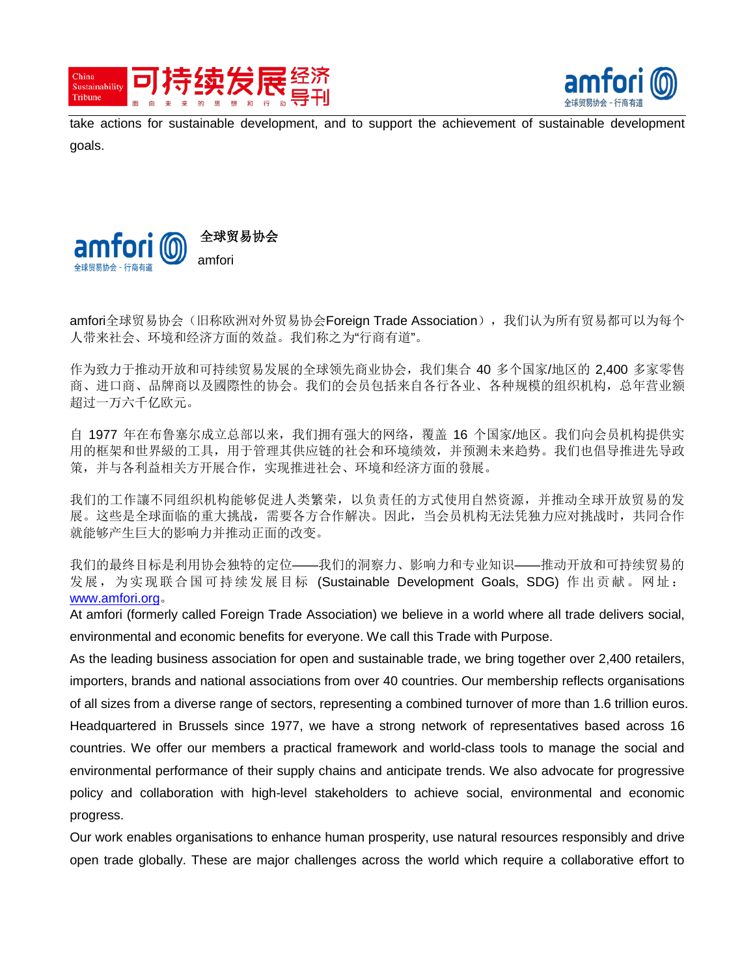



take actions for sustainable development, and to support the achievement of sustainable development goals.



amfori全球贸易协会(旧称欧洲对外贸易协会Foreign Trade Association), 我们认为所有贸易都可以为每个 人带来社会、环境和经济方面的效益。我们称之为"行商有道"。

作为致力于推动开放和可持续贸易发展的全球领先商业协会,我们集合 40 多个国家/地区的 2,400 多家零售 商、进口商、品牌商以及國際性的协会。我们的会员包括来自各行各业、各种规模的组织机构,总年营业额 超过一万六千亿欧元。

自 1977 年在布鲁塞尔成立总部以来,我们拥有强大[的网络,](http://www.fta-intl.org/content/community)覆盖 16 个国家/地区。我们向会员机构提供实 用的框架和世界級的工具,用于管理其供应链的社会和环境绩效,并预测未来趋势。我们也倡导推进先导政 策,并与各利益相关方开展合作,实现推进社会、环境和经济方面的發展。

我们的工作讓不同组织机构能够促进人类繁荣,以负责任的方式使用自然资源,并推动全球开放贸易的发 展。这些是全球面临的重大挑战,需要各方合作解决。因此,当会员机构无法凭独力应对挑战时,共同合作 就能够产生巨大的影响力并推动正面的改变。

我们的最终目标是利用协会独特的定位——我们的洞察力、影响力和专业知识——推动开放和可持续贸易的 发展,为实现联合国可持续发展目标 (Sustainable Development Goals, SDG) 作出贡献。网址: [www.amfori.org](http://www.amfori.org/)。

At amfori (formerly called Foreign Trade Association) we believe in a world where all trade delivers social, environmental and economic benefits for everyone. We call this Trade with Purpose.

As the leading business association for open and sustainable trade, we bring together over 2,400 retailers, importers, brands and national associations from over 40 countries. Our membership reflects organisations of all sizes from a diverse range of sectors, representing a combined turnover of more than 1.6 trillion euros. Headquartered in Brussels since 1977, we have a strong network of representatives based across 16 countries. We offer our members a practical framework and world-class tools to manage the social and environmental performance of their supply chains and anticipate trends. We also advocate for progressive policy and collaboration with high-level stakeholders to achieve social, environmental and economic progress.

Our work enables organisations to enhance human prosperity, use natural resources responsibly and drive open trade globally. These are major challenges across the world which require a collaborative effort to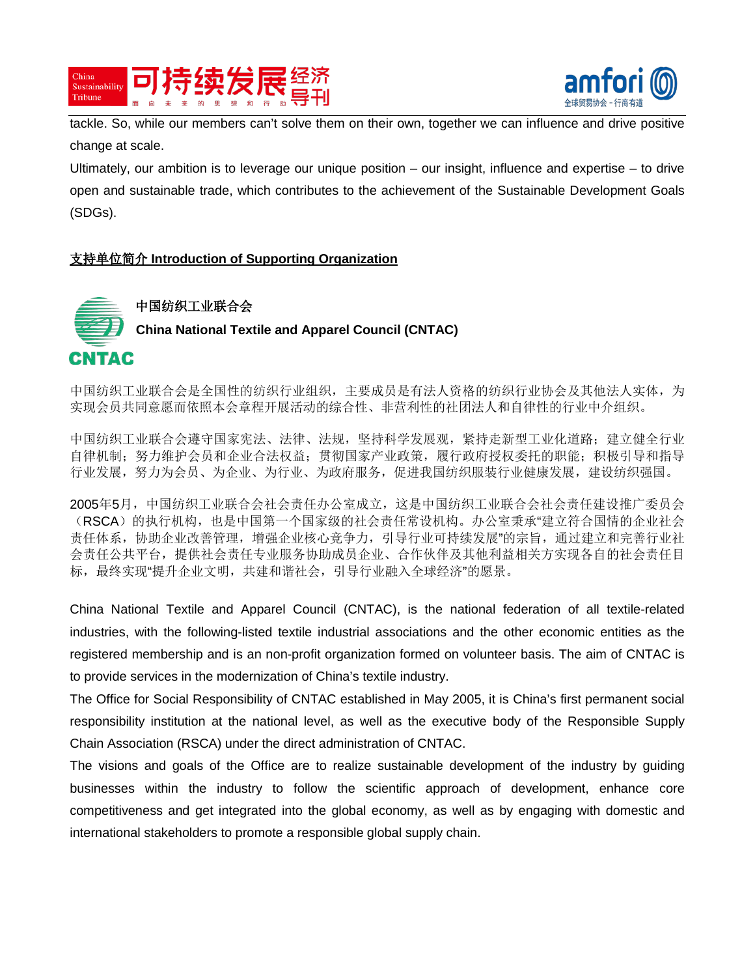



tackle. So, while our members can't solve them on their own, together we can influence and drive positive change at scale.

Ultimately, our ambition is to leverage our unique position – our insight, influence and expertise – to drive open and sustainable trade, which contributes to the achievement of the Sustainable Development Goals (SDGs).

### 支持单位简介 **Introduction of Supporting Organization**



中国纺织工业联合会是全国性的纺织行业组织,主要成员是有法人资格的纺织行业协会及其他法人实体,为 实现会员共同意愿而依照本会章程开展活动的综合性、非营利性的社团法人和自律性的行业中介组织。

中国纺织工业联合会遵守国家宪法、法律、法规,坚持科学发展观,紧持走新型工业化道路;建立健全行业 自律机制;努力维护会员和企业合法权益;贯彻国家产业政策,履行政府授权委托的职能;积极引导和指导 行业发展,努力为会员、为企业、为行业、为政府服务,促进我国纺织服装行业健康发展,建设纺织强国。

2005年5月,中国纺织工业联合会社会责任办公室成立,这是中国纺织工业联合会社会责任建设推广委员会 (RSCA)的执行机构,也是中国第一个国家级的社会责任常设机构。办公室秉承"建立符合国情的企业社会 责任体系,协助企业改善管理,增强企业核心竞争力,引导行业可持续发展"的宗旨,通过建立和完善行业社 会责任公共平台,提供社会责任专业服务协助成员企业、合作伙伴及其他利益相关方实现各自的社会责任目 标,最终实现"提升企业文明,共建和谐社会,引导行业融入全球经济"的愿景。

China National Textile and Apparel Council (CNTAC), is the national federation of all textile-related industries, with the following-listed textile industrial associations and the other economic entities as the registered membership and is an non-profit organization formed on volunteer basis. The aim of CNTAC is to provide services in the modernization of China's textile industry.

The Office for Social Responsibility of CNTAC established in May 2005, it is China's first permanent social responsibility institution at the national level, as well as the executive body of the Responsible Supply Chain Association (RSCA) under the direct administration of CNTAC.

The visions and goals of the Office are to realize sustainable development of the industry by guiding businesses within the industry to follow the scientific approach of development, enhance core competitiveness and get integrated into the global economy, as well as by engaging with domestic and international stakeholders to promote a responsible global supply chain.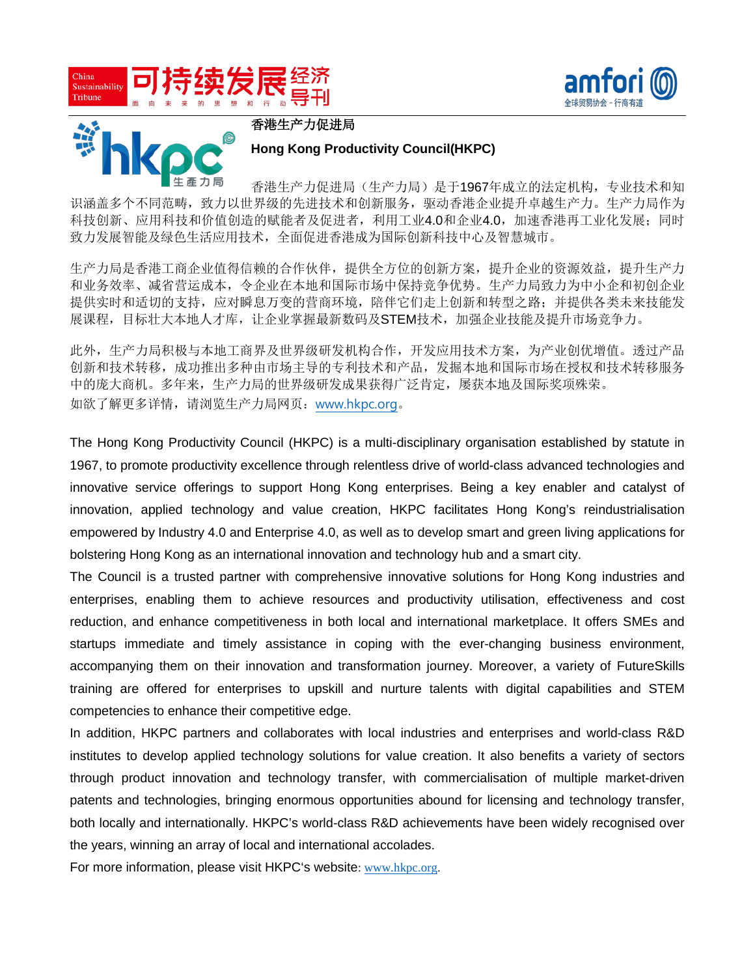





香港生产力促进局

#### **Hong Kong Productivity Council(HKPC)**

香港生产力促进局(生产力局)是于1967年成立的法定机构,专业技术和知 识涵盖多个不同范畴,致力以世界级的先进技术和创新服务,驱动香港企业提升卓越生产力。生产力局作为 科技创新、应用科技和价值创造的赋能者及促进者,利用工业4.0和企业4.0,加速香港再工业化发展;同时 致力发展智能及绿色生活应用技术,全面促进香港成为国际创新科技中心及智慧城市。

生产力局是香港工商企业值得信赖的合作伙伴,提供全方位的创新方案,提升企业的资源效益,提升生产力 和业务效率、减省营运成本,令企业在本地和国际市场中保持竞争优势。生产力局致力为中小企和初创企业 提供实时和适切的支持,应对瞬息万变的营商环境,陪伴它们走上创新和转型之路;并提供各类未来技能发 展课程,目标壮大本地人才库,让企业掌握最新数码及STEM技术,加强企业技能及提升市场竞争力。

此外,生产力局积极与本地工商界及世界级研发机构合作,开发应用技术方案,为产业创优增值。透过产品 创新和技术转移,成功推出多种由市场主导的专利技术和产品,发掘本地和国际市场在授权和技术转移服务 中的庞大商机。多年来,生产力局的世界级研发成果获得广泛肯定,屡获本地及国际奖项殊荣。 如欲了解更多详情,请浏览生产力局网页:[www.hkpc.org](https://apc01.safelinks.protection.outlook.com/?url=http%3A%2F%2Fwww.hkpc.org%2F&data=04%7C01%7Cshirleytsui%40hkpc.org%7Cf6246453e2424faf41e308d9b3cecea8%7C07373b9f47dd4621ad2ce5bbfc8863f2%7C0%7C0%7C637738523076183501%7CUnknown%7CTWFpbGZsb3d8eyJWIjoiMC4wLjAwMDAiLCJQIjoiV2luMzIiLCJBTiI6Ik1haWwiLCJXVCI6Mn0%3D%7C3000&sdata=Q8v1yGL5i7b6XjWsUXGhYh5l%2B7jTDmOKXqjNB7vZUJ0%3D&reserved=0)。

The Hong Kong Productivity Council (HKPC) is a multi-disciplinary organisation established by statute in 1967, to promote productivity excellence through relentless drive of world-class advanced technologies and innovative service offerings to support Hong Kong enterprises. Being a key enabler and catalyst of innovation, applied technology and value creation, HKPC facilitates Hong Kong's reindustrialisation empowered by Industry 4.0 and Enterprise 4.0, as well as to develop smart and green living applications for bolstering Hong Kong as an international innovation and technology hub and a smart city.

The Council is a trusted partner with comprehensive innovative solutions for Hong Kong industries and enterprises, enabling them to achieve resources and productivity utilisation, effectiveness and cost reduction, and enhance competitiveness in both local and international marketplace. It offers SMEs and startups immediate and timely assistance in coping with the ever-changing business environment, accompanying them on their innovation and transformation journey. Moreover, a variety of FutureSkills training are offered for enterprises to upskill and nurture talents with digital capabilities and STEM competencies to enhance their competitive edge.

In addition, HKPC partners and collaborates with local industries and enterprises and world-class R&D institutes to develop applied technology solutions for value creation. It also benefits a variety of sectors through product innovation and technology transfer, with commercialisation of multiple market-driven patents and technologies, bringing enormous opportunities abound for licensing and technology transfer, both locally and internationally. HKPC's world-class R&D achievements have been widely recognised over the years, winning an array of local and international accolades.

For more information, please visit HKPC's website: [www.hkpc.org.](https://apc01.safelinks.protection.outlook.com/?url=http%3A%2F%2Fwww.hkpc.org%2F&data=04%7C01%7Cshirleytsui%40hkpc.org%7Cf6246453e2424faf41e308d9b3cecea8%7C07373b9f47dd4621ad2ce5bbfc8863f2%7C0%7C0%7C637738523076183501%7CUnknown%7CTWFpbGZsb3d8eyJWIjoiMC4wLjAwMDAiLCJQIjoiV2luMzIiLCJBTiI6Ik1haWwiLCJXVCI6Mn0%3D%7C3000&sdata=Q8v1yGL5i7b6XjWsUXGhYh5l%2B7jTDmOKXqjNB7vZUJ0%3D&reserved=0)